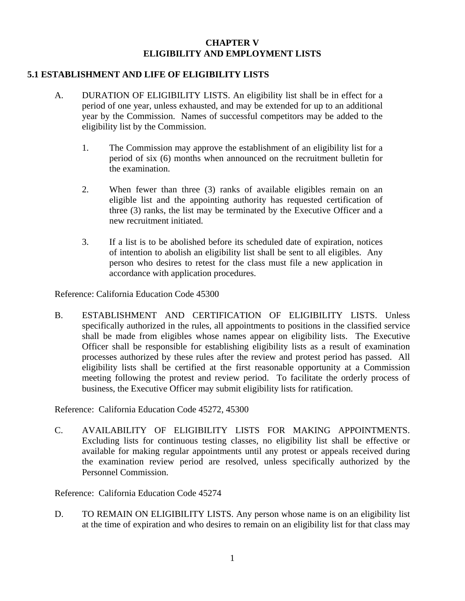## **CHAPTER V ELIGIBILITY AND EMPLOYMENT LISTS**

## **5.1 ESTABLISHMENT AND LIFE OF ELIGIBILITY LISTS**

- A. DURATION OF ELIGIBILITY LISTS. An eligibility list shall be in effect for a period of one year, unless exhausted, and may be extended for up to an additional year by the Commission. Names of successful competitors may be added to the eligibility list by the Commission.
	- 1. The Commission may approve the establishment of an eligibility list for a period of six (6) months when announced on the recruitment bulletin for the examination.
	- 2. When fewer than three (3) ranks of available eligibles remain on an eligible list and the appointing authority has requested certification of three (3) ranks, the list may be terminated by the Executive Officer and a new recruitment initiated.
	- 3. If a list is to be abolished before its scheduled date of expiration, notices of intention to abolish an eligibility list shall be sent to all eligibles. Any person who desires to retest for the class must file a new application in accordance with application procedures.

Reference: California Education Code 45300

 B. ESTABLISHMENT AND CERTIFICATION OF ELIGIBILITY LISTS. Unless specifically authorized in the rules, all appointments to positions in the classified service shall be made from eligibles whose names appear on eligibility lists. The Executive Officer shall be responsible for establishing eligibility lists as a result of examination processes authorized by these rules after the review and protest period has passed. All eligibility lists shall be certified at the first reasonable opportunity at a Commission meeting following the protest and review period. To facilitate the orderly process of business, the Executive Officer may submit eligibility lists for ratification.

Reference: California Education Code 45272, 45300

C. AVAILABILITY OF ELIGIBILITY LISTS FOR MAKING APPOINTMENTS. Excluding lists for continuous testing classes, no eligibility list shall be effective or available for making regular appointments until any protest or appeals received during the examination review period are resolved, unless specifically authorized by the Personnel Commission.

Reference: California Education Code 45274

D. TO REMAIN ON ELIGIBILITY LISTS. Any person whose name is on an eligibility list at the time of expiration and who desires to remain on an eligibility list for that class may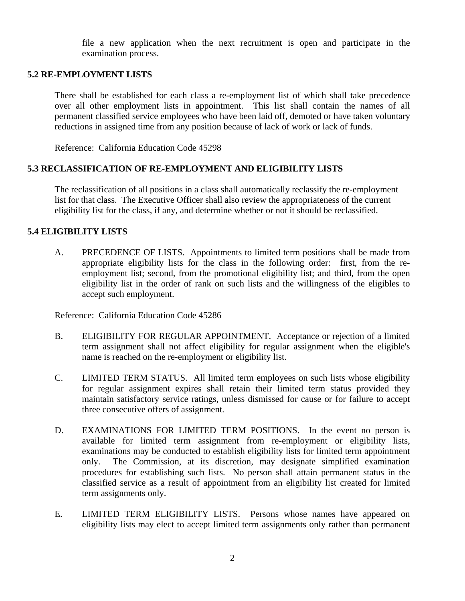file a new application when the next recruitment is open and participate in the examination process.

#### **5.2 RE-EMPLOYMENT LISTS**

There shall be established for each class a re-employment list of which shall take precedence over all other employment lists in appointment. This list shall contain the names of all permanent classified service employees who have been laid off, demoted or have taken voluntary reductions in assigned time from any position because of lack of work or lack of funds.

Reference: California Education Code 45298

# **5.3 RECLASSIFICATION OF RE-EMPLOYMENT AND ELIGIBILITY LISTS**

The reclassification of all positions in a class shall automatically reclassify the re-employment list for that class. The Executive Officer shall also review the appropriateness of the current eligibility list for the class, if any, and determine whether or not it should be reclassified.

## **5.4 ELIGIBILITY LISTS**

A. PRECEDENCE OF LISTS. Appointments to limited term positions shall be made from appropriate eligibility lists for the class in the following order: first, from the reemployment list; second, from the promotional eligibility list; and third, from the open eligibility list in the order of rank on such lists and the willingness of the eligibles to accept such employment.

Reference: California Education Code 45286

- B. ELIGIBILITY FOR REGULAR APPOINTMENT. Acceptance or rejection of a limited term assignment shall not affect eligibility for regular assignment when the eligible's name is reached on the re-employment or eligibility list.
- C. LIMITED TERM STATUS. All limited term employees on such lists whose eligibility for regular assignment expires shall retain their limited term status provided they maintain satisfactory service ratings, unless dismissed for cause or for failure to accept three consecutive offers of assignment.
- D. EXAMINATIONS FOR LIMITED TERM POSITIONS. In the event no person is available for limited term assignment from re-employment or eligibility lists, examinations may be conducted to establish eligibility lists for limited term appointment only. The Commission, at its discretion, may designate simplified examination procedures for establishing such lists. No person shall attain permanent status in the classified service as a result of appointment from an eligibility list created for limited term assignments only.
- E. LIMITED TERM ELIGIBILITY LISTS. Persons whose names have appeared on eligibility lists may elect to accept limited term assignments only rather than permanent